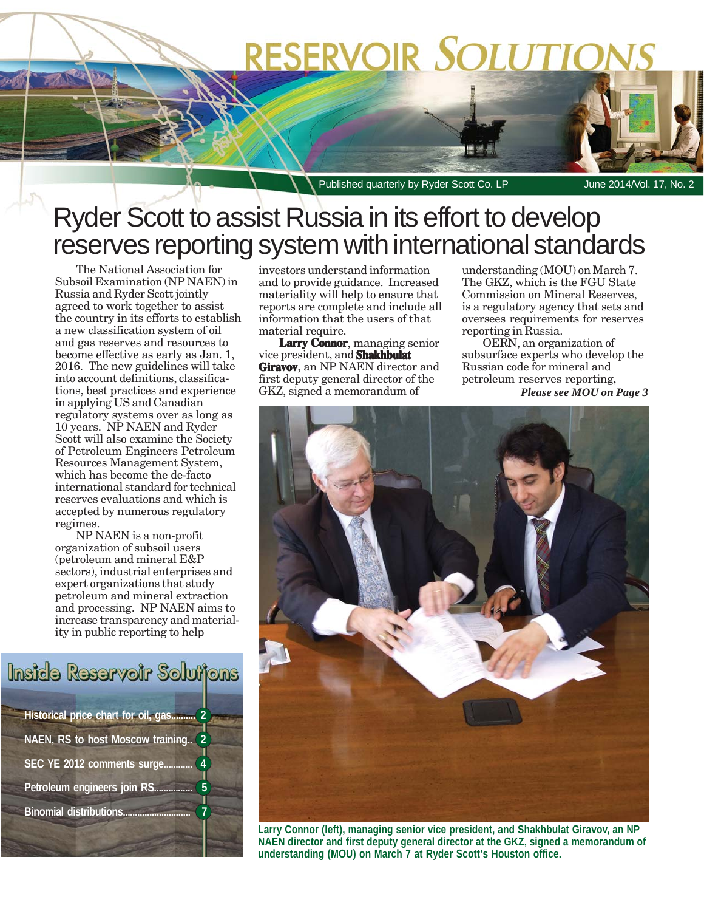# RESERVOIR SOLUTION

Published quarterly by Ryder Scott Co. LP June 2014/Vol. 17, No. 2

### Ryder Scott to assist Russia in its effort to develop reserves reporting system with international standards

The National Association for Subsoil Examination (NP NAEN) in Russia and Ryder Scott jointly agreed to work together to assist the country in its efforts to establish a new classification system of oil and gas reserves and resources to become effective as early as Jan. 1, 2016. The new guidelines will take into account definitions, classifications, best practices and experience in applying US and Canadian regulatory systems over as long as 10 years. NP NAEN and Ryder Scott will also examine the Society of Petroleum Engineers Petroleum Resources Management System, which has become the de-facto international standard for technical reserves evaluations and which is accepted by numerous regulatory regimes.

NP NAEN is a non-profit organization of subsoil users (petroleum and mineral E&P sectors), industrial enterprises and expert organizations that study petroleum and mineral extraction and processing. NP NAEN aims to increase transparency and materiality in public reporting to help

Inside Reservoir Solutions

| Historical price chart for oil, gas<br>$\overline{\mathbf{c}}$ |
|----------------------------------------------------------------|
| $\overline{2}$<br>NAEN, RS to host Moscow training             |
| SEC YE 2012 comments surge<br>4                                |
| Petroleum engineers join RS                                    |
| <b>Binomial distributions.</b>                                 |

investors understand information and to provide guidance. Increased materiality will help to ensure that reports are complete and include all information that the users of that material require.

**Larry Connor**, managing senior vice president, and **Shakhbulat Giravov**, an NP NAEN director and first deputy general director of the GKZ, signed a memorandum of

understanding (MOU) on March 7. The GKZ, which is the FGU State Commission on Mineral Reserves, is a regulatory agency that sets and oversees requirements for reserves reporting in Russia.

OERN, an organization of subsurface experts who develop the Russian code for mineral and petroleum reserves reporting,

*Please see MOU on Page 3*



**Larry Connor (left), managing senior vice president, and Shakhbulat Giravov, an NP NAEN director and first deputy general director at the GKZ, signed a memorandum of understanding (MOU) on March 7 at Ryder Scott's Houston office.**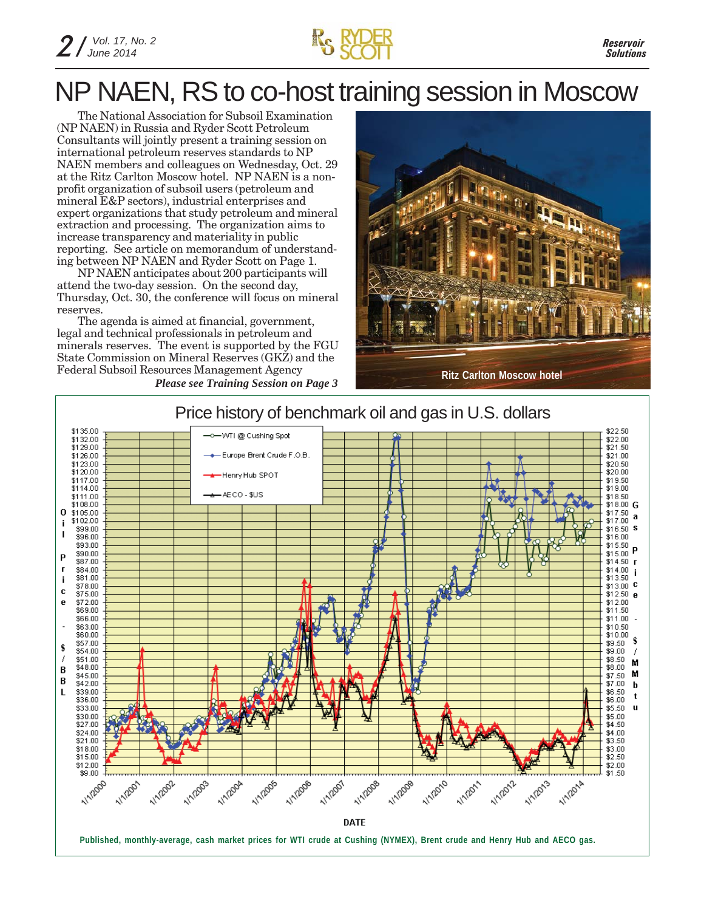

## NP NAEN, RS to co-host training session in Moscow

The National Association for Subsoil Examination (NP NAEN) in Russia and Ryder Scott Petroleum Consultants will jointly present a training session on international petroleum reserves standards to NP NAEN members and colleagues on Wednesday, Oct. 29 at the Ritz Carlton Moscow hotel. NP NAEN is a nonprofit organization of subsoil users (petroleum and mineral E&P sectors), industrial enterprises and expert organizations that study petroleum and mineral extraction and processing. The organization aims to increase transparency and materiality in public reporting. See article on memorandum of understanding between NP NAEN and Ryder Scott on Page 1.

NP NAEN anticipates about 200 participants will attend the two-day session. On the second day, Thursday, Oct. 30, the conference will focus on mineral reserves.

The agenda is aimed at financial, government, legal and technical professionals in petroleum and minerals reserves. The event is supported by the FGU State Commission on Mineral Reserves (GKZ) and the Federal Subsoil Resources Management Agency



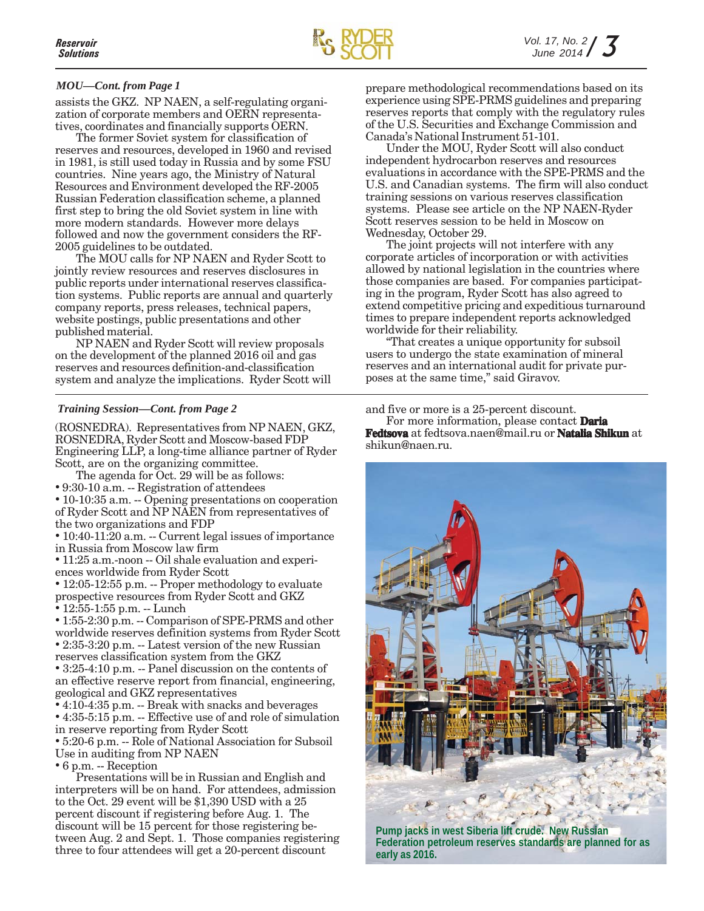#### *MOU—Cont. from Page 1*

assists the GKZ. NP NAEN, a self-regulating organization of corporate members and OERN representatives, coordinates and financially supports OERN.

The former Soviet system for classification of reserves and resources, developed in 1960 and revised in 1981, is still used today in Russia and by some FSU countries. Nine years ago, the Ministry of Natural Resources and Environment developed the RF-2005 Russian Federation classification scheme, a planned first step to bring the old Soviet system in line with more modern standards. However more delays followed and now the government considers the RF-2005 guidelines to be outdated.

The MOU calls for NP NAEN and Ryder Scott to jointly review resources and reserves disclosures in public reports under international reserves classification systems. Public reports are annual and quarterly company reports, press releases, technical papers, website postings, public presentations and other published material.

NP NAEN and Ryder Scott will review proposals on the development of the planned 2016 oil and gas reserves and resources definition-and-classification system and analyze the implications. Ryder Scott will

(ROSNEDRA). Representatives from NP NAEN, GKZ, ROSNEDRA, Ryder Scott and Moscow-based FDP Engineering LLP, a long-time alliance partner of Ryder Scott, are on the organizing committee.

The agenda for Oct. 29 will be as follows: • 9:30-10 a.m. -- Registration of attendees • 10-10:35 a.m. -- Opening presentations on cooperation

of Ryder Scott and NP NAEN from representatives of the two organizations and FDP

• 10:40-11:20 a.m. -- Current legal issues of importance in Russia from Moscow law firm

• 11:25 a.m.-noon -- Oil shale evaluation and experiences worldwide from Ryder Scott

• 12:05-12:55 p.m. -- Proper methodology to evaluate prospective resources from Ryder Scott and GKZ • 12:55-1:55 p.m. -- Lunch

• 1:55-2:30 p.m. -- Comparison of SPE-PRMS and other worldwide reserves definition systems from Ryder Scott • 2:35-3:20 p.m. -- Latest version of the new Russian reserves classification system from the GKZ • 3:25-4:10 p.m. -- Panel discussion on the contents of an effective reserve report from financial, engineering,

geological and GKZ representatives • 4:10-4:35 p.m. -- Break with snacks and beverages • 4:35-5:15 p.m. -- Effective use of and role of simulation

in reserve reporting from Ryder Scott • 5:20-6 p.m. -- Role of National Association for Subsoil

Use in auditing from NP NAEN

• 6 p.m. -- Reception

Presentations will be in Russian and English and interpreters will be on hand. For attendees, admission to the Oct. 29 event will be \$1,390 USD with a 25 percent discount if registering before Aug. 1. The discount will be 15 percent for those registering between Aug. 2 and Sept. 1. Those companies registering three to four attendees will get a 20-percent discount

prepare methodological recommendations based on its experience using SPE-PRMS guidelines and preparing reserves reports that comply with the regulatory rules of the U.S. Securities and Exchange Commission and Canada's National Instrument 51-101.

Under the MOU, Ryder Scott will also conduct independent hydrocarbon reserves and resources evaluations in accordance with the SPE-PRMS and the U.S. and Canadian systems. The firm will also conduct training sessions on various reserves classification systems. Please see article on the NP NAEN-Ryder Scott reserves session to be held in Moscow on Wednesday, October 29.

The joint projects will not interfere with any corporate articles of incorporation or with activities allowed by national legislation in the countries where those companies are based. For companies participating in the program, Ryder Scott has also agreed to extend competitive pricing and expeditious turnaround times to prepare independent reports acknowledged worldwide for their reliability.

"That creates a unique opportunity for subsoil users to undergo the state examination of mineral reserves and an international audit for private purposes at the same time," said Giravov.

*Training Session—Cont. from Page 2* and five or more is a 25-percent discount.

For more information, please contact **Daria Fedtsova** at fedtsova.naen@mail.ru or **Natalia Shikun** at shikun@naen.ru.



**Pump jacks in west Siberia lift crude. New Russian Federation petroleum reserves standards are planned for as early as 2016.**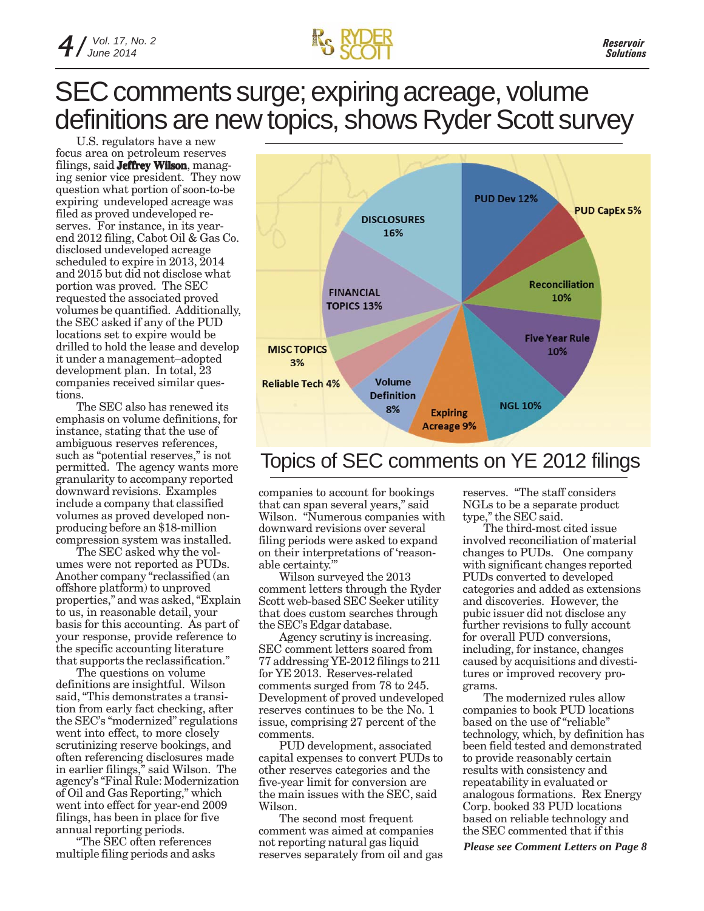### SEC comments surge; expiring acreage, volume definitions are new topics, shows Ryder Scott survey

U.S. regulators have a new focus area on petroleum reserves filings, said **Jeffrey Wilson**, managing senior vice president. They now question what portion of soon-to-be expiring undeveloped acreage was filed as proved undeveloped reserves. For instance, in its yearend 2012 filing, Cabot Oil & Gas Co. disclosed undeveloped acreage scheduled to expire in 2013, 2014 and 2015 but did not disclose what portion was proved. The SEC requested the associated proved volumes be quantified. Additionally, the SEC asked if any of the PUD locations set to expire would be drilled to hold the lease and develop it under a management–adopted development plan. In total, 23 companies received similar questions.

The SEC also has renewed its emphasis on volume definitions, for instance, stating that the use of ambiguous reserves references, such as "potential reserves," is not permitted. The agency wants more granularity to accompany reported downward revisions. Examples include a company that classified volumes as proved developed nonproducing before an \$18-million compression system was installed.

The SEC asked why the volumes were not reported as PUDs. Another company "reclassified (an offshore platform) to unproved properties," and was asked, "Explain to us, in reasonable detail, your basis for this accounting. As part of your response, provide reference to the specific accounting literature that supports the reclassification."

The questions on volume definitions are insightful. Wilson said, "This demonstrates a transition from early fact checking, after the SEC's "modernized" regulations went into effect, to more closely scrutinizing reserve bookings, and often referencing disclosures made in earlier filings," said Wilson. The agency's "Final Rule: Modernization of Oil and Gas Reporting," which went into effect for year-end 2009 filings, has been in place for five annual reporting periods.

"The SEC often references<br>multiple filing periods and asks



### Topics of SEC comments on YE 2012 filings

companies to account for bookings that can span several years," said Wilson. "Numerous companies with downward revisions over several filing periods were asked to expand on their interpretations of 'reasonable certainty.'"

Wilson surveyed the 2013 comment letters through the Ryder Scott web-based SEC Seeker utility that does custom searches through the SEC's Edgar database.

Agency scrutiny is increasing. SEC comment letters soared from 77 addressing YE-2012 filings to 211 for YE 2013. Reserves-related comments surged from 78 to 245. Development of proved undeveloped reserves continues to be the No. 1 issue, comprising 27 percent of the comments.

PUD development, associated capital expenses to convert PUDs to other reserves categories and the five-year limit for conversion are the main issues with the SEC, said Wilson.

multiple filing periods and asks *Please see Comment Letters on Page 8* reserves separately from oil and gas The second most frequent comment was aimed at companies not reporting natural gas liquid

reserves. "The staff considers NGLs to be a separate product type," the SEC said.

The third-most cited issue involved reconciliation of material changes to PUDs. One company with significant changes reported PUDs converted to developed categories and added as extensions and discoveries. However, the pubic issuer did not disclose any further revisions to fully account for overall PUD conversions, including, for instance, changes caused by acquisitions and divestitures or improved recovery programs.

The modernized rules allow companies to book PUD locations based on the use of "reliable" technology, which, by definition has been field tested and demonstrated to provide reasonably certain results with consistency and repeatability in evaluated or analogous formations. Rex Energy Corp. booked 33 PUD locations based on reliable technology and the SEC commented that if this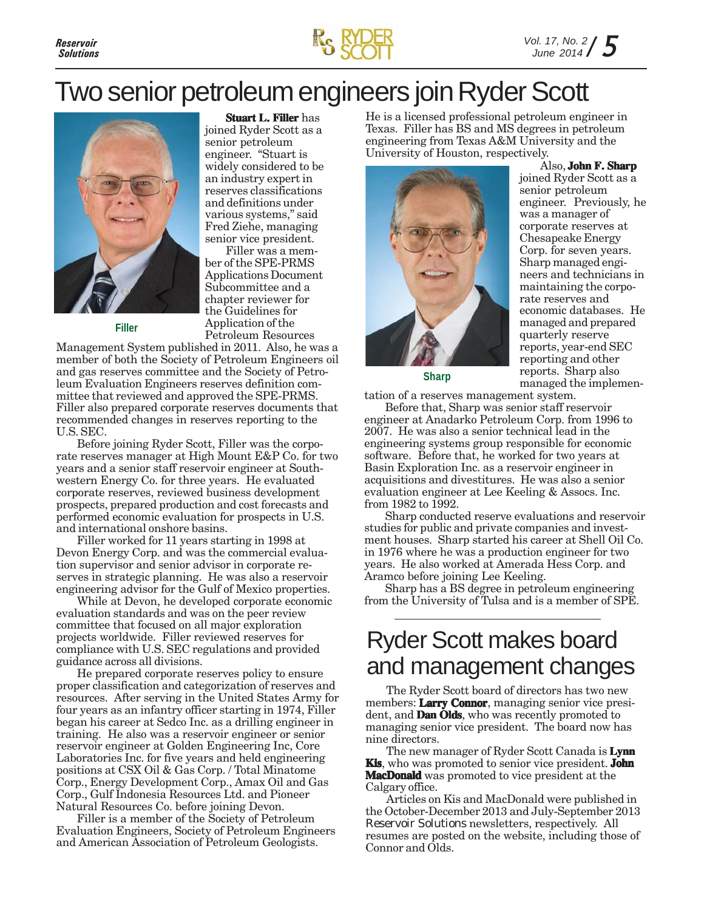

### Two senior petroleum engineers join Ryder Scott



**Filler**

**Stuart L. Filler** has joined Ryder Scott as a senior petroleum engineer. "Stuart is widely considered to be an industry expert in reserves classifications and definitions under various systems," said Fred Ziehe, managing senior vice president.

Filler was a member of the SPE-PRMS Applications Document Subcommittee and a chapter reviewer for the Guidelines for Application of the Petroleum Resources

Management System published in 2011. Also, he was a member of both the Society of Petroleum Engineers oil and gas reserves committee and the Society of Petroleum Evaluation Engineers reserves definition committee that reviewed and approved the SPE-PRMS. Filler also prepared corporate reserves documents that recommended changes in reserves reporting to the U.S. SEC.

Before joining Ryder Scott, Filler was the corporate reserves manager at High Mount E&P Co. for two years and a senior staff reservoir engineer at Southwestern Energy Co. for three years. He evaluated corporate reserves, reviewed business development prospects, prepared production and cost forecasts and performed economic evaluation for prospects in U.S. and international onshore basins.

Filler worked for 11 years starting in 1998 at Devon Energy Corp. and was the commercial evaluation supervisor and senior advisor in corporate reserves in strategic planning. He was also a reservoir engineering advisor for the Gulf of Mexico properties.

While at Devon, he developed corporate economic evaluation standards and was on the peer review committee that focused on all major exploration projects worldwide. Filler reviewed reserves for compliance with U.S. SEC regulations and provided guidance across all divisions.

He prepared corporate reserves policy to ensure proper classification and categorization of reserves and resources. After serving in the United States Army for four years as an infantry officer starting in 1974, Filler began his career at Sedco Inc. as a drilling engineer in training. He also was a reservoir engineer or senior reservoir engineer at Golden Engineering Inc, Core Laboratories Inc. for five years and held engineering positions at CSX Oil & Gas Corp. / Total Minatome Corp., Energy Development Corp., Amax Oil and Gas Corp., Gulf Indonesia Resources Ltd. and Pioneer Natural Resources Co. before joining Devon.

Filler is a member of the Society of Petroleum Evaluation Engineers, Society of Petroleum Engineers and American Association of Petroleum Geologists.

He is a licensed professional petroleum engineer in Texas. Filler has BS and MS degrees in petroleum engineering from Texas A&M University and the University of Houston, respectively.



Also, **John F. Sharp** joined Ryder Scott as a senior petroleum engineer. Previously, he was a manager of corporate reserves at Chesapeake Energy Corp. for seven years. Sharp managed engineers and technicians in maintaining the corporate reserves and economic databases. He managed and prepared quarterly reserve reports, year-end SEC reporting and other reports. Sharp also managed the implemen-

**Sharp**

tation of a reserves management system.

Before that, Sharp was senior staff reservoir engineer at Anadarko Petroleum Corp. from 1996 to 2007. He was also a senior technical lead in the engineering systems group responsible for economic software. Before that, he worked for two years at Basin Exploration Inc. as a reservoir engineer in acquisitions and divestitures. He was also a senior evaluation engineer at Lee Keeling & Assocs. Inc. from 1982 to 1992.

Sharp conducted reserve evaluations and reservoir studies for public and private companies and investment houses. Sharp started his career at Shell Oil Co. in 1976 where he was a production engineer for two years. He also worked at Amerada Hess Corp. and Aramco before joining Lee Keeling.

Sharp has a BS degree in petroleum engineering from the University of Tulsa and is a member of SPE.

### Ryder Scott makes board and management changes

The Ryder Scott board of directors has two new members: **Larry Connor**, managing senior vice president, and **Dan Olds**, who was recently promoted to managing senior vice president. The board now has nine directors.

The new manager of Ryder Scott Canada is **Lynn Kis**, who was promoted to senior vice president. **John MacDonald** was promoted to vice president at the Calgary office.

Articles on Kis and MacDonald were published in the October-December 2013 and July-September 2013 *Reservoir Solutions* newsletters, respectively. All resumes are posted on the website, including those of Connor and Olds.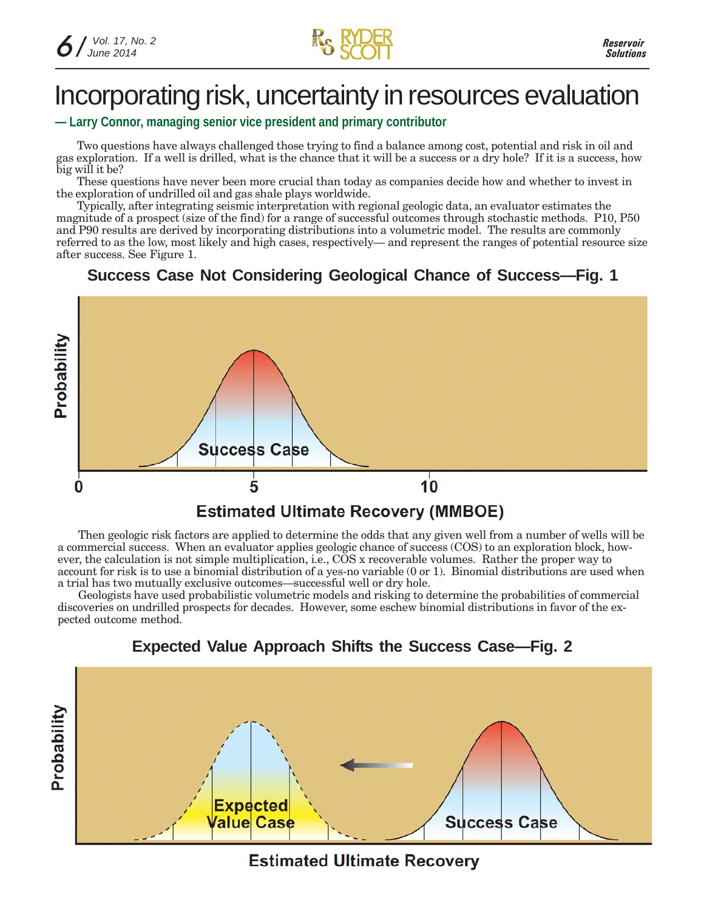$\kappa$   $\kappa$ 

### Incorporating risk, uncertainty in resources evaluation

#### **— Larry Connor, managing senior vice president and primary contributor**

Two questions have always challenged those trying to find a balance among cost, potential and risk in oil and gas exploration. If a well is drilled, what is the chance that it will be a success or a dry hole? If it is a success, how big will it be?

These questions have never been more crucial than today as companies decide how and whether to invest in the exploration of undrilled oil and gas shale plays worldwide.

Typically, after integrating seismic interpretation with regional geologic data, an evaluator estimates the magnitude of a prospect (size of the find) for a range of successful outcomes through stochastic methods. P10, P50 and P90 results are derived by incorporating distributions into a volumetric model. The results are commonly referred to as the low, most likely and high cases, respectively— and represent the ranges of potential resource size after success. See Figure 1.

#### **Success Case Not Considering Geological Chance of Success—Fig. 1**



#### Then geologic risk factors are applied to determine the odds that any given well from a number of wells will be a commercial success. When an evaluator applies geologic chance of success (COS) to an exploration block, however, the calculation is not simple multiplication, i.e., COS x recoverable volumes. Rather the proper way to account for risk is to use a binomial distribution of a yes-no variable (0 or 1). Binomial distributions are used when a trial has two mutually exclusive outcomes—successful well or dry hole.

Geologists have used probabilistic volumetric models and risking to determine the probabilities of commercial discoveries on undrilled prospects for decades. However, some eschew binomial distributions in favor of the expected outcome method.



#### **Expected Value Approach Shifts the Success Case—Fig. 2**

**Estimated Ultimate Recovery**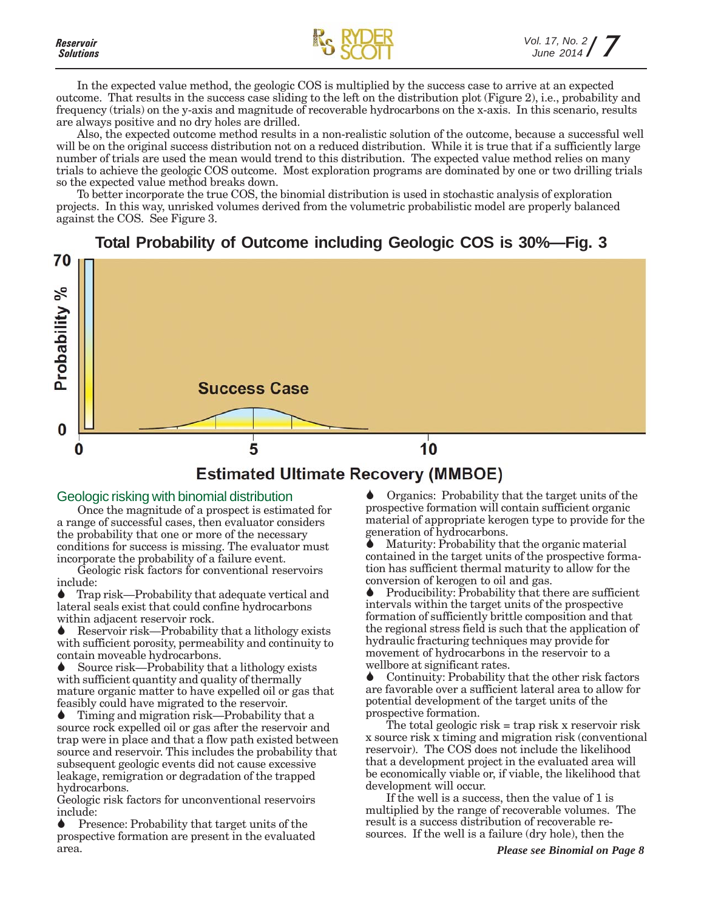



In the expected value method, the geologic COS is multiplied by the success case to arrive at an expected outcome. That results in the success case sliding to the left on the distribution plot (Figure 2), i.e., probability and frequency (trials) on the y-axis and magnitude of recoverable hydrocarbons on the x-axis. In this scenario, results are always positive and no dry holes are drilled.

Also, the expected outcome method results in a non-realistic solution of the outcome, because a successful well will be on the original success distribution not on a reduced distribution. While it is true that if a sufficiently large number of trials are used the mean would trend to this distribution. The expected value method relies on many trials to achieve the geologic COS outcome. Most exploration programs are dominated by one or two drilling trials so the expected value method breaks down.

To better incorporate the true COS, the binomial distribution is used in stochastic analysis of exploration projects. In this way, unrisked volumes derived from the volumetric probabilistic model are properly balanced against the COS. See Figure 3.



#### **Estimated Ultimate Recovery (MMBOE)**

#### Geologic risking with binomial distribution

Once the magnitude of a prospect is estimated for a range of successful cases, then evaluator considers the probability that one or more of the necessary conditions for success is missing. The evaluator must incorporate the probability of a failure event.

Geologic risk factors for conventional reservoirs include:

Trap risk—Probability that adequate vertical and lateral seals exist that could confine hydrocarbons within adjacent reservoir rock.

Reservoir risk—Probability that a lithology exists with sufficient porosity, permeability and continuity to contain moveable hydrocarbons.

Source risk—Probability that a lithology exists with sufficient quantity and quality of thermally mature organic matter to have expelled oil or gas that feasibly could have migrated to the reservoir.

Timing and migration risk—Probability that a source rock expelled oil or gas after the reservoir and trap were in place and that a flow path existed between source and reservoir. This includes the probability that subsequent geologic events did not cause excessive leakage, remigration or degradation of the trapped hydrocarbons.

Geologic risk factors for unconventional reservoirs include:

Presence: Probability that target units of the prospective formation are present in the evaluated area.

Organics: Probability that the target units of the prospective formation will contain sufficient organic material of appropriate kerogen type to provide for the generation of hydrocarbons.

Maturity: Probability that the organic material contained in the target units of the prospective formation has sufficient thermal maturity to allow for the conversion of kerogen to oil and gas.

Producibility: Probability that there are sufficient intervals within the target units of the prospective formation of sufficiently brittle composition and that the regional stress field is such that the application of hydraulic fracturing techniques may provide for movement of hydrocarbons in the reservoir to a wellbore at significant rates.

Continuity: Probability that the other risk factors are favorable over a sufficient lateral area to allow for potential development of the target units of the prospective formation.

The total geologic risk = trap risk x reservoir risk x source risk x timing and migration risk (conventional reservoir). The COS does not include the likelihood that a development project in the evaluated area will be economically viable or, if viable, the likelihood that development will occur.

If the well is a success, then the value of 1 is multiplied by the range of recoverable volumes. The result is a success distribution of recoverable resources. If the well is a failure (dry hole), then the